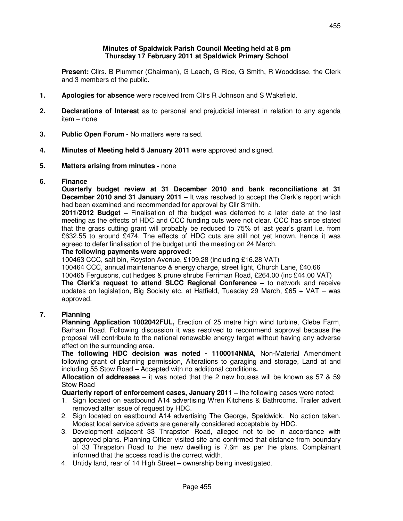#### **Minutes of Spaldwick Parish Council Meeting held at 8 pm Thursday 17 February 2011 at Spaldwick Primary School**

 **Present:** Cllrs. B Plummer (Chairman), G Leach, G Rice, G Smith, R Wooddisse, the Clerk and 3 members of the public.

- **1. Apologies for absence** were received from Cllrs R Johnson and S Wakefield.
- **2. Declarations of Interest** as to personal and prejudicial interest in relation to any agenda item – none
- **3. Public Open Forum** No matters were raised.
- **4. Minutes of Meeting held 5 January 2011** were approved and signed.
- **5. Matters arising from minutes** none

#### **6. Finance**

 **Quarterly budget review at 31 December 2010 and bank reconciliations at 31 December 2010 and 31 January 2011** – It was resolved to accept the Clerk's report which had been examined and recommended for approval by Cllr Smith.

 **2011/2012 Budget –** Finalisation of the budget was deferred to a later date at the last meeting as the effects of HDC and CCC funding cuts were not clear. CCC has since stated that the grass cutting grant will probably be reduced to 75% of last year's grant i.e. from £632.55 to around £474. The effects of HDC cuts are still not yet known, hence it was agreed to defer finalisation of the budget until the meeting on 24 March.

#### **The following payments were approved:**

100463 CCC, salt bin, Royston Avenue, £109.28 (including £16.28 VAT)

100464 CCC, annual maintenance & energy charge, street light, Church Lane, £40.66

100465 Fergusons, cut hedges & prune shrubs Ferriman Road, £264.00 (inc £44.00 VAT)

**The Clerk's request to attend SLCC Regional Conference –** to network and receive updates on legislation, Big Society etc. at Hatfield, Tuesday 29 March, £65 + VAT – was approved.

## **7. Planning**

**Planning Application 1002042FUL,** Erection of 25 metre high wind turbine, Glebe Farm, Barham Road. Following discussion it was resolved to recommend approval because the proposal will contribute to the national renewable energy target without having any adverse effect on the surrounding area.

 **The following HDC decision was noted - 1100014NMA**, Non-Material Amendment following grant of planning permission, Alterations to garaging and storage, Land at and including 55 Stow Road **–** Accepted with no additional conditions**.**

 **Allocation of addresses** – it was noted that the 2 new houses will be known as 57 & 59 Stow Road

 **Quarterly report of enforcement cases, January 2011 –** the following cases were noted:

- 1. Sign located on eastbound A14 advertising Wren Kitchens & Bathrooms. Trailer advert removed after issue of request by HDC.
- 2. Sign located on eastbound A14 advertising The George, Spaldwick. No action taken. Modest local service adverts are generally considered acceptable by HDC.
- 3. Development adjacent 33 Thrapston Road, alleged not to be in accordance with approved plans. Planning Officer visited site and confirmed that distance from boundary of 33 Thrapston Road to the new dwelling is 7.6m as per the plans. Complainant informed that the access road is the correct width.
- 4. Untidy land, rear of 14 High Street ownership being investigated.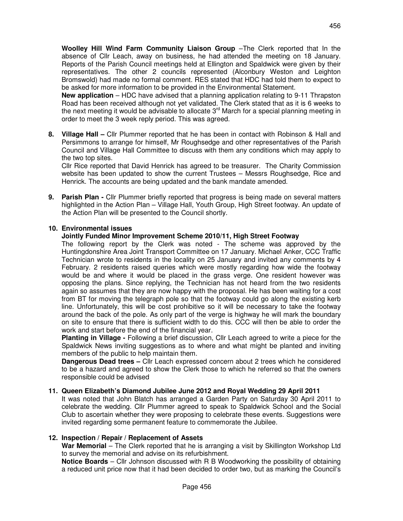**Woolley Hill Wind Farm Community Liaison Group** –The Clerk reported that In the absence of Cllr Leach, away on business, he had attended the meeting on 18 January. Reports of the Parish Council meetings held at Ellington and Spaldwick were given by their representatives. The other 2 councils represented (Alconbury Weston and Leighton Bromswold) had made no formal comment. RES stated that HDC had told them to expect to be asked for more information to be provided in the Environmental Statement.

**New application** – HDC have advised that a planning application relating to 9-11 Thrapston Road has been received although not yet validated. The Clerk stated that as it is 6 weeks to the next meeting it would be advisable to allocate 3<sup>rd</sup> March for a special planning meeting in order to meet the 3 week reply period. This was agreed.

**8. Village Hall –** Cllr Plummer reported that he has been in contact with Robinson & Hall and Persimmons to arrange for himself, Mr Roughsedge and other representatives of the Parish Council and Village Hall Committee to discuss with them any conditions which may apply to the two top sites.

 Cllr Rice reported that David Henrick has agreed to be treasurer. The Charity Commission website has been updated to show the current Trustees – Messrs Roughsedge, Rice and Henrick. The accounts are being updated and the bank mandate amended.

**9. Parish Plan -** Cllr Plummer briefly reported that progress is being made on several matters highlighted in the Action Plan – Village Hall, Youth Group, High Street footway. An update of the Action Plan will be presented to the Council shortly.

## **10. Environmental issues**

#### **Jointly Funded Minor Improvement Scheme 2010/11, High Street Footway**

The following report by the Clerk was noted - The scheme was approved by the Huntingdonshire Area Joint Transport Committee on 17 January. Michael Anker, CCC Traffic Technician wrote to residents in the locality on 25 January and invited any comments by 4 February. 2 residents raised queries which were mostly regarding how wide the footway would be and where it would be placed in the grass verge. One resident however was opposing the plans. Since replying, the Technician has not heard from the two residents again so assumes that they are now happy with the proposal. He has been waiting for a cost from BT for moving the telegraph pole so that the footway could go along the existing kerb line. Unfortunately, this will be cost prohibitive so it will be necessary to take the footway around the back of the pole. As only part of the verge is highway he will mark the boundary on site to ensure that there is sufficient width to do this. CCC will then be able to order the work and start before the end of the financial year.

**Planting in Village -** Following a brief discussion, Cllr Leach agreed to write a piece for the Spaldwick News inviting suggestions as to where and what might be planted and inviting members of the public to help maintain them.

**Dangerous Dead trees –** Cllr Leach expressed concern about 2 trees which he considered to be a hazard and agreed to show the Clerk those to which he referred so that the owners responsible could be advised

#### **11. Queen Elizabeth's Diamond Jubilee June 2012 and Royal Wedding 29 April 2011**

 It was noted that John Blatch has arranged a Garden Party on Saturday 30 April 2011 to celebrate the wedding. Cllr Plummer agreed to speak to Spaldwick School and the Social Club to ascertain whether they were proposing to celebrate these events. Suggestions were invited regarding some permanent feature to commemorate the Jubilee.

#### **12. Inspection / Repair / Replacement of Assets**

**War Memorial** – The Clerk reported that he is arranging a visit by Skillington Workshop Ltd to survey the memorial and advise on its refurbishment.

**Notice Boards** – Cllr Johnson discussed with R B Woodworking the possibility of obtaining a reduced unit price now that it had been decided to order two, but as marking the Council's